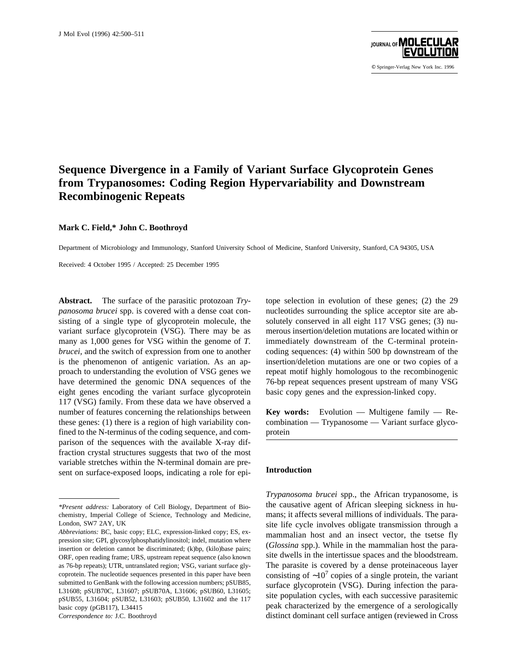

© Springer-Verlag New York Inc. 1996

# **Sequence Divergence in a Family of Variant Surface Glycoprotein Genes from Trypanosomes: Coding Region Hypervariability and Downstream Recombinogenic Repeats**

#### **Mark C. Field,\* John C. Boothroyd**

Department of Microbiology and Immunology, Stanford University School of Medicine, Stanford University, Stanford, CA 94305, USA

Received: 4 October 1995 / Accepted: 25 December 1995

**Abstract.** The surface of the parasitic protozoan *Trypanosoma brucei* spp. is covered with a dense coat consisting of a single type of glycoprotein molecule, the variant surface glycoprotein (VSG). There may be as many as 1,000 genes for VSG within the genome of *T. brucei,* and the switch of expression from one to another is the phenomenon of antigenic variation. As an approach to understanding the evolution of VSG genes we have determined the genomic DNA sequences of the eight genes encoding the variant surface glycoprotein 117 (VSG) family. From these data we have observed a number of features concerning the relationships between these genes: (1) there is a region of high variability confined to the N-terminus of the coding sequence, and comparison of the sequences with the available X-ray diffraction crystal structures suggests that two of the most variable stretches within the N-terminal domain are present on surface-exposed loops, indicating a role for epitope selection in evolution of these genes; (2) the 29 nucleotides surrounding the splice acceptor site are absolutely conserved in all eight 117 VSG genes; (3) numerous insertion/deletion mutations are located within or immediately downstream of the C-terminal proteincoding sequences: (4) within 500 bp downstream of the insertion/deletion mutations are one or two copies of a repeat motif highly homologous to the recombinogenic 76-bp repeat sequences present upstream of many VSG basic copy genes and the expression-linked copy.

**Key words:** Evolution — Multigene family — Recombination — Trypanosome — Variant surface glycoprotein

## **Introduction**

*Trypanosoma brucei* spp., the African trypanosome, is the causative agent of African sleeping sickness in humans; it affects several millions of individuals. The parasite life cycle involves obligate transmission through a mammalian host and an insect vector, the tsetse fly (*Glossina* spp.). While in the mammalian host the parasite dwells in the intertissue spaces and the bloodstream. The parasite is covered by a dense proteinaceous layer consisting of  $~\sim 10^7$  copies of a single protein, the variant surface glycoprotein (VSG). During infection the parasite population cycles, with each successive parasitemic peak characterized by the emergence of a serologically distinct dominant cell surface antigen (reviewed in Cross

*<sup>\*</sup>Present address:* Laboratory of Cell Biology, Department of Biochemistry, Imperial College of Science, Technology and Medicine, London, SW7 2AY, UK

*Abbreviations:* BC, basic copy; ELC, expression-linked copy; ES, expression site; GPI, glycosylphosphatidylinositol; indel, mutation where insertion or deletion cannot be discriminated; (k)bp, (kilo)base pairs; ORF, open reading frame; URS, upstream repeat sequence (also known as 76-bp repeats); UTR, untranslated region; VSG, variant surface glycoprotein. The nucleotide sequences presented in this paper have been submitted to GenBank with the following accession numbers; pSUB85, L31608; pSUB70C, L31607; pSUB70A, L31606; pSUB60, L31605; pSUB55, L31604; pSUB52, L31603; pSUB50, L31602 and the 117 basic copy (pGB117), L34415 *Correspondence to:* J.C. Boothroyd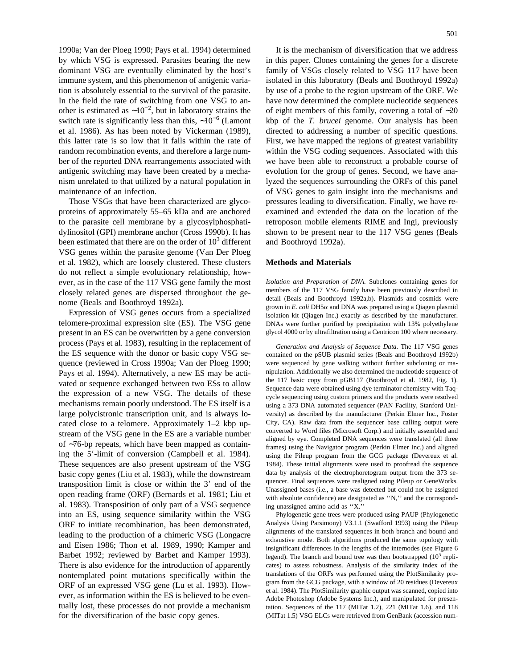1990a; Van der Ploeg 1990; Pays et al. 1994) determined by which VSG is expressed. Parasites bearing the new dominant VSG are eventually eliminated by the host's immune system, and this phenomenon of antigenic variation is absolutely essential to the survival of the parasite. In the field the rate of switching from one VSG to another is estimated as ∼10−2, but in laboratory strains the switch rate is significantly less than this,  $\sim 10^{-6}$  (Lamont et al. 1986). As has been noted by Vickerman (1989), this latter rate is so low that it falls within the rate of random recombination events, and therefore a large number of the reported DNA rearrangements associated with antigenic switching may have been created by a mechanism unrelated to that utilized by a natural population in maintenance of an infection.

Those VSGs that have been characterized are glycoproteins of approximately 55–65 kDa and are anchored to the parasite cell membrane by a glycosylphosphatidylinositol (GPI) membrane anchor (Cross 1990b). It has been estimated that there are on the order of  $10<sup>3</sup>$  different VSG genes within the parasite genome (Van Der Ploeg et al. 1982), which are loosely clustered. These clusters do not reflect a simple evolutionary relationship, however, as in the case of the 117 VSG gene family the most closely related genes are dispersed throughout the genome (Beals and Boothroyd 1992a).

Expression of VSG genes occurs from a specialized telomere-proximal expression site (ES). The VSG gene present in an ES can be overwritten by a gene conversion process (Pays et al. 1983), resulting in the replacement of the ES sequence with the donor or basic copy VSG sequence (reviewed in Cross 1990a; Van der Ploeg 1990; Pays et al. 1994). Alternatively, a new ES may be activated or sequence exchanged between two ESs to allow the expression of a new VSG. The details of these mechanisms remain poorly understood. The ES itself is a large polycistronic transcription unit, and is always located close to a telomere. Approximately 1–2 kbp upstream of the VSG gene in the ES are a variable number of ∼76-bp repeats, which have been mapped as containing the 5'-limit of conversion (Campbell et al. 1984). These sequences are also present upstream of the VSG basic copy genes (Liu et al. 1983), while the downstream transposition limit is close or within the  $3'$  end of the open reading frame (ORF) (Bernards et al. 1981; Liu et al. 1983). Transposition of only part of a VSG sequence into an ES, using sequence similarity within the VSG ORF to initiate recombination, has been demonstrated, leading to the production of a chimeric VSG (Longacre and Eisen 1986; Thon et al. 1989, 1990; Kamper and Barbet 1992; reviewed by Barbet and Kamper 1993). There is also evidence for the introduction of apparently nontemplated point mutations specifically within the ORF of an expressed VSG gene (Lu et al. 1993). However, as information within the ES is believed to be eventually lost, these processes do not provide a mechanism for the diversification of the basic copy genes.

It is the mechanism of diversification that we address in this paper. Clones containing the genes for a discrete family of VSGs closely related to VSG 117 have been isolated in this laboratory (Beals and Boothroyd 1992a) by use of a probe to the region upstream of the ORF. We have now determined the complete nucleotide sequences of eight members of this family, covering a total of ∼20 kbp of the *T. brucei* genome. Our analysis has been directed to addressing a number of specific questions. First, we have mapped the regions of greatest variability within the VSG coding sequences. Associated with this we have been able to reconstruct a probable course of evolution for the group of genes. Second, we have analyzed the sequences surrounding the ORFs of this panel of VSG genes to gain insight into the mechanisms and pressures leading to diversification. Finally, we have reexamined and extended the data on the location of the retroposon mobile elements RIME and Ingi, previously shown to be present near to the 117 VSG genes (Beals and Boothroyd 1992a).

#### **Methods and Materials**

*Isolation and Preparation of DNA.* Subclones containing genes for members of the 117 VSG family have been previously described in detail (Beals and Boothroyd 1992a,b). Plasmids and cosmids were grown in  $E$ . *coli* DH5 $\alpha$  and DNA was prepared using a Qiagen plasmid isolation kit (Qiagen Inc.) exactly as described by the manufacturer. DNAs were further purified by precipitation with 13% polyethylene glycol 4000 or by ultrafiltration using a Centricon 100 where necessary.

*Generation and Analysis of Sequence Data.* The 117 VSG genes contained on the pSUB plasmid series (Beals and Boothroyd 1992b) were sequenced by gene walking without further subcloning or manipulation. Additionally we also determined the nucleotide sequence of the 117 basic copy from pGB117 (Boothroyd et al. 1982, Fig. 1). Sequence data were obtained using dye terminator chemistry with Taqcycle sequencing using custom primers and the products were resolved using a 373 DNA automated sequencer (PAN Facility, Stanford University) as described by the manufacturer (Perkin Elmer Inc., Foster City, CA). Raw data from the sequencer base calling output were converted to Word files (Microsoft Corp.) and initially assembled and aligned by eye. Completed DNA sequences were translated (all three frames) using the Navigator program (Perkin Elmer Inc.) and aligned using the Pileup program from the GCG package (Devereux et al. 1984). These initial alignments were used to proofread the sequence data by analysis of the electrophoretogram output from the 373 sequencer. Final sequences were realigned using Pileup or GeneWorks. Unassigned bases (i.e., a base was detected but could not be assigned with absolute confidence) are designated as ''N,'' and the corresponding unassigned amino acid as ''X.''

Phylogenetic gene trees were produced using PAUP (Phylogenetic Analysis Using Parsimony) V3.1.1 (Swafford 1993) using the Pileup alignments of the translated sequences in both branch and bound and exhaustive mode. Both algorithms produced the same topology with insignificant differences in the lengths of the internodes (see Figure 6 legend). The branch and bound tree was then bootstrapped  $(10^3 \text{ repli-}$ cates) to assess robustness. Analysis of the similarity index of the translations of the ORFs was performed using the PlotSimilarity program from the GCG package, with a window of 20 residues (Devereux et al. 1984). The PlotSimilarity graphic output was scanned, copied into Adobe Photoshop (Adobe Systems Inc.), and manipulated for presentation. Sequences of the 117 (MITat 1.2), 221 (MITat 1.6), and 118 (MITat 1.5) VSG ELCs were retrieved from GenBank (accession num-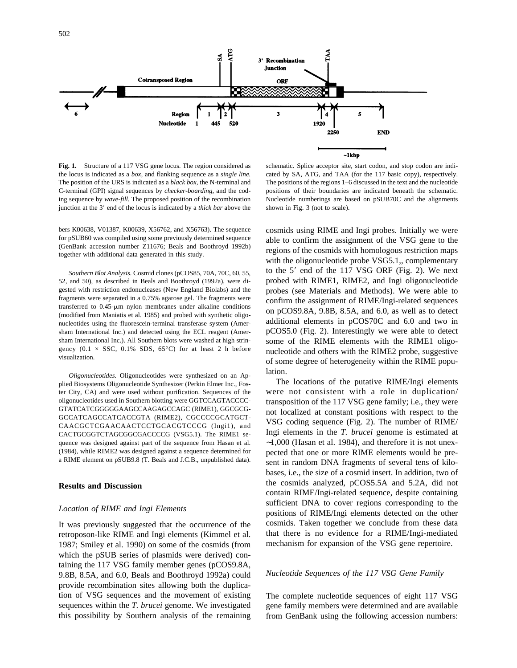

**Fig. 1.** Structure of a 117 VSG gene locus. The region considered as the locus is indicated as a *box,* and flanking sequence as a *single line.* The position of the URS is indicated as a *black box,* the N-terminal and C-terminal (GPI) signal sequences by *checker-boarding,* and the coding sequence by *wave-fill.* The proposed position of the recombination junction at the 3' end of the locus is indicated by a *thick bar* above the

bers K00638, V01387, K00639, X56762, and X56763). The sequence for pSUB60 was compiled using some previously determined sequence (GenBank accession number Z11676; Beals and Boothroyd 1992b) together with additional data generated in this study.

*Southern Blot Analysis.* Cosmid clones (pCOS85, 70A, 70C, 60, 55, 52, and 50), as described in Beals and Boothroyd (1992a), were digested with restriction endonucleases (New England Biolabs) and the fragments were separated in a 0.75% agarose gel. The fragments were transferred to 0.45-µm nylon membranes under alkaline conditions (modified from Maniatis et al. 1985) and probed with synthetic oligonucleotides using the fluorescein-terminal transferase system (Amersham International Inc.) and detected using the ECL reagent (Amersham International Inc.). All Southern blots were washed at high stringency  $(0.1 \times SSC, 0.1\% SDS, 65°C)$  for at least 2 h before visualization.

*Oligonucleotides.* Oligonucleotides were synthesized on an Applied Biosystems Oligonucleotide Synthesizer (Perkin Elmer Inc., Foster City, CA) and were used without purification. Sequences of the oligonucleotides used in Southern blotting were GGTCCAGTACCCC-GTATCATCGGGGGAAGCCAAGAGCCAGC (RIME1), GGCGCG-GCCATCAGCCATCACCGTA (RIME2), CGCCCCGCATGCT-CAACGCTCGAACAACTCCTGCACGTCCCG (Ingi1), and CACTGCGGTCTAGCGGCGACCCCG (VSG5.1). The RIME1 sequence was designed against part of the sequence from Hasan et al. (1984), while RIME2 was designed against a sequence determined for a RIME element on pSUB9.8 (T. Beals and J.C.B., unpublished data).

## **Results and Discussion**

#### *Location of RIME and Ingi Elements*

It was previously suggested that the occurrence of the retroposon-like RIME and Ingi elements (Kimmel et al. 1987; Smiley et al. 1990) on some of the cosmids (from which the pSUB series of plasmids were derived) containing the 117 VSG family member genes (pCOS9.8A, 9.8B, 8.5A, and 6.0, Beals and Boothroyd 1992a) could provide recombination sites allowing both the duplication of VSG sequences and the movement of existing sequences within the *T. brucei* genome. We investigated this possibility by Southern analysis of the remaining

schematic. Splice acceptor site, start codon, and stop codon are indicated by SA, ATG, and TAA (for the 117 basic copy), respectively. The positions of the regions 1–6 discussed in the text and the nucleotide positions of their boundaries are indicated beneath the schematic. Nucleotide numberings are based on pSUB70C and the alignments shown in Fig. 3 (not to scale).

cosmids using RIME and Ingi probes. Initially we were able to confirm the assignment of the VSG gene to the regions of the cosmids with homologous restriction maps with the oligonucleotide probe VSG5.1,, complementary to the  $5'$  end of the 117 VSG ORF (Fig. 2). We next probed with RIME1, RIME2, and Ingi oligonucleotide probes (see Materials and Methods). We were able to confirm the assignment of RIME/Ingi-related sequences on pCOS9.8A, 9.8B, 8.5A, and 6.0, as well as to detect additional elements in pCOS70C and 6.0 and two in pCOS5.0 (Fig. 2). Interestingly we were able to detect some of the RIME elements with the RIME1 oligonucleotide and others with the RIME2 probe, suggestive of some degree of heterogeneity within the RIME population.

The locations of the putative RIME/Ingi elements were not consistent with a role in duplication/ transposition of the 117 VSG gene family; i.e., they were not localized at constant positions with respect to the VSG coding sequence (Fig. 2). The number of RIME/ Ingi elements in the *T. brucei* genome is estimated at ∼1,000 (Hasan et al. 1984), and therefore it is not unexpected that one or more RIME elements would be present in random DNA fragments of several tens of kilobases, i.e., the size of a cosmid insert. In addition, two of the cosmids analyzed, pCOS5.5A and 5.2A, did not contain RIME/Ingi-related sequence, despite containing sufficient DNA to cover regions corresponding to the positions of RIME/Ingi elements detected on the other cosmids. Taken together we conclude from these data that there is no evidence for a RIME/Ingi-mediated mechanism for expansion of the VSG gene repertoire.

#### *Nucleotide Sequences of the 117 VSG Gene Family*

The complete nucleotide sequences of eight 117 VSG gene family members were determined and are available from GenBank using the following accession numbers: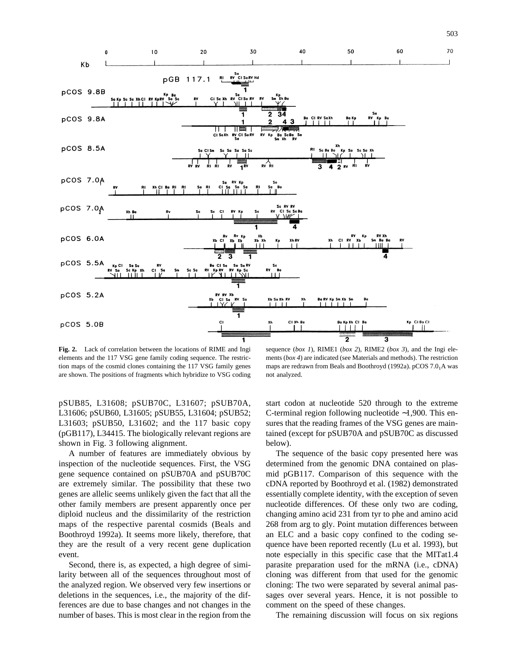

**Fig. 2.** Lack of correlation between the locations of RIME and Ingi elements and the 117 VSG gene family coding sequence. The restriction maps of the cosmid clones containing the 117 VSG family genes are shown. The positions of fragments which hybridize to VSG coding

sequence (*box 1*), RIME1 (*box 2*), RIME2 (*box 3*), and the Ingi elements (*box 4*) are indicated (see Materials and methods). The restriction maps are redrawn from Beals and Boothroyd (1992a).  $pCOS 7.0<sub>1</sub>A$  was not analyzed.

503

pSUB85, L31608; pSUB70C, L31607; pSUB70A, L31606; pSUB60, L31605; pSUB55, L31604; pSUB52; L31603; pSUB50, L31602; and the 117 basic copy (pGB117), L34415. The biologically relevant regions are shown in Fig. 3 following alignment.

A number of features are immediately obvious by inspection of the nucleotide sequences. First, the VSG gene sequence contained on pSUB70A and pSUB70C are extremely similar. The possibility that these two genes are allelic seems unlikely given the fact that all the other family members are present apparently once per diploid nucleus and the dissimilarity of the restriction maps of the respective parental cosmids (Beals and Boothroyd 1992a). It seems more likely, therefore, that they are the result of a very recent gene duplication event.

Second, there is, as expected, a high degree of similarity between all of the sequences throughout most of the analyzed region. We observed very few insertions or deletions in the sequences, i.e., the majority of the differences are due to base changes and not changes in the number of bases. This is most clear in the region from the

start codon at nucleotide 520 through to the extreme C-terminal region following nucleotide ∼1,900. This ensures that the reading frames of the VSG genes are maintained (except for pSUB70A and pSUB70C as discussed below).

The sequence of the basic copy presented here was determined from the genomic DNA contained on plasmid pGB117. Comparison of this sequence with the cDNA reported by Boothroyd et al. (1982) demonstrated essentially complete identity, with the exception of seven nucleotide differences. Of these only two are coding, changing amino acid 231 from tyr to phe and amino acid 268 from arg to gly. Point mutation differences between an ELC and a basic copy confined to the coding sequence have been reported recently (Lu et al. 1993), but note especially in this specific case that the MITat1.4 parasite preparation used for the mRNA (i.e., cDNA) cloning was different from that used for the genomic cloning: The two were separated by several animal passages over several years. Hence, it is not possible to comment on the speed of these changes.

The remaining discussion will focus on six regions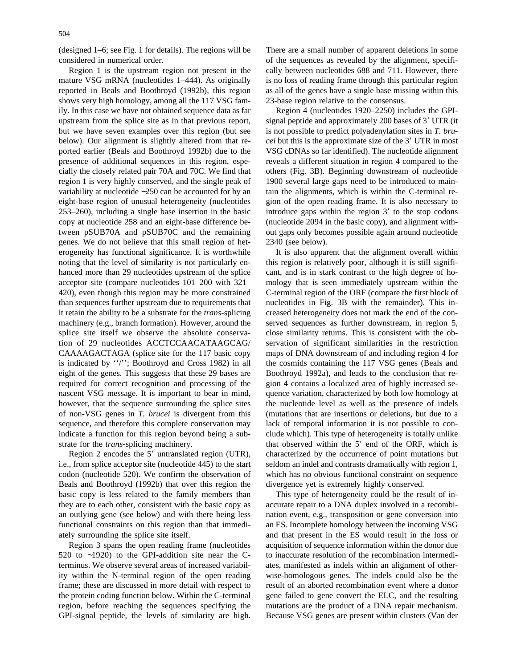(designed 1–6; see Fig. 1 for details). The regions will be considered in numerical order.

Region 1 is the upstream region not present in the mature VSG mRNA (nucleotides 1–444). As originally reported in Beals and Boothroyd (1992b), this region shows very high homology, among all the 117 VSG family. In this case we have not obtained sequence data as far upstream from the splice site as in that previous report, but we have seven examples over this region (but see below). Our alignment is slightly altered from that reported earlier (Beals and Boothroyd 1992b) due to the presence of additional sequences in this region, especially the closely related pair 70A and 70C. We find that region 1 is very highly conserved, and the single peak of variability at nucleotide ∼250 can be accounted for by an eight-base region of unusual heterogeneity (nucleotides 253–260), including a single base insertion in the basic copy at nucleotide 258 and an eight-base difference between pSUB70A and pSUB70C and the remaining genes. We do not believe that this small region of heterogeneity has functional significance. It is worthwhile noting that the level of similarity is not particularly enhanced more than 29 nucleotides upstream of the splice acceptor site (compare nucleotides 101–200 with 321– 420), even though this region may be more constrained than sequences further upstream due to requirements that it retain the ability to be a substrate for the *trans*-splicing machinery (e.g., branch formation). However, around the splice site itself we observe the absolute conservation of 29 nucleotides ACCTCCAACATAAGCAG/ CAAAAGACTAGA (splice site for the 117 basic copy is indicated by ''/''; Boothroyd and Cross 1982) in all eight of the genes. This suggests that these 29 bases are required for correct recognition and processing of the nascent VSG message. It is important to bear in mind, however, that the sequence surrounding the splice sites of non-VSG genes in *T. brucei* is divergent from this sequence, and therefore this complete conservation may indicate a function for this region beyond being a substrate for the *trans*-splicing machinery.

Region 2 encodes the  $5'$  untranslated region (UTR), i.e., from splice acceptor site (nucleotide 445) to the start codon (nucleotide 520). We confirm the observation of Beals and Boothroyd (1992b) that over this region the basic copy is less related to the family members than they are to each other, consistent with the basic copy as an outlying gene (see below) and with there being less functional constraints on this region than that immediately surrounding the splice site itself.

Region 3 spans the open reading frame (nucleotides 520 to ∼1920) to the GPI-addition site near the Cterminus. We observe several areas of increased variability within the N-terminal region of the open reading frame; these are discussed in more detail with respect to the protein coding function below. Within the C-terminal region, before reaching the sequences specifying the GPI-signal peptide, the levels of similarity are high. There are a small number of apparent deletions in some of the sequences as revealed by the alignment, specifically between nucleotides 688 and 711. However, there is no loss of reading frame through this particular region as all of the genes have a single base missing within this 23-base region relative to the consensus.

Region 4 (nucleotides 1920–2250) includes the GPIsignal peptide and approximately 200 bases of 3' UTR (it is not possible to predict polyadenylation sites in *T. brucei* but this is the approximate size of the 3' UTR in most VSG cDNAs so far identified). The nucleotide alignment reveals a different situation in region 4 compared to the others (Fig. 3B). Beginning downstream of nucleotide 1900 several large gaps need to be introduced to maintain the alignments, which is within the C-terminal region of the open reading frame. It is also necessary to introduce gaps within the region  $3'$  to the stop codons (nucleotide 2094 in the basic copy), and alignment without gaps only becomes possible again around nucleotide 2340 (see below).

It is also apparent that the alignment overall within this region is relatively poor, although it is still significant, and is in stark contrast to the high degree of homology that is seen immediately upstream within the C-terminal region of the ORF (compare the first block of nucleotides in Fig. 3B with the remainder). This increased heterogeneity does not mark the end of the conserved sequences as further downstream, in region 5, close similarity returns. This is consistent with the observation of significant similarities in the restriction maps of DNA downstream of and including region 4 for the cosmids containing the 117 VSG genes (Beals and Boothroyd 1992a), and leads to the conclusion that region 4 contains a localized area of highly increased sequence variation, characterized by both low homology at the nucleotide level as well as the presence of indels (mutations that are insertions or deletions, but due to a lack of temporal information it is not possible to conclude which). This type of heterogeneity is totally unlike that observed within the  $5'$  end of the ORF, which is characterized by the occurrence of point mutations but seldom an indel and contrasts dramatically with region 1, which has no obvious functional constraint on sequence divergence yet is extremely highly conserved.

This type of heterogeneity could be the result of inaccurate repair to a DNA duplex involved in a recombination event, e.g., transposition or gene conversion into an ES. Incomplete homology between the incoming VSG and that present in the ES would result in the loss or acquisition of sequence information within the donor due to inaccurate resolution of the recombination intermediates, manifested as indels within an alignment of otherwise-homologous genes. The indels could also be the result of an aborted recombination event where a donor gene failed to gene convert the ELC, and the resulting mutations are the product of a DNA repair mechanism. Because VSG genes are present within clusters (Van der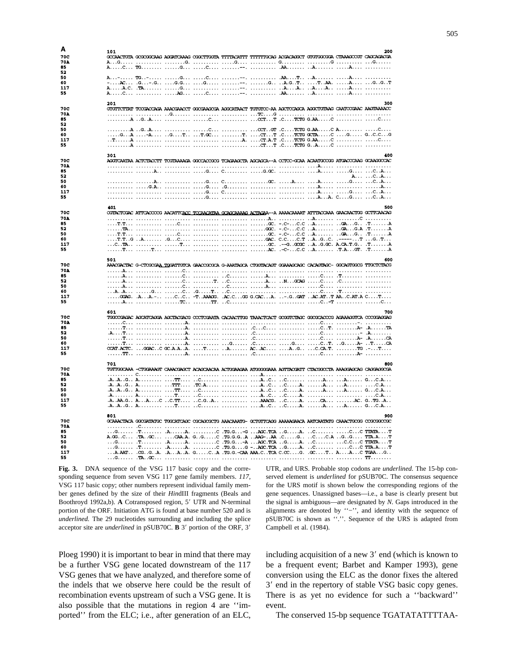| A          | 101 |                                                                                                                                                                                                                                |  |  |  | 200 |
|------------|-----|--------------------------------------------------------------------------------------------------------------------------------------------------------------------------------------------------------------------------------|--|--|--|-----|
| 70C        |     | GOCAACTGTA GOGOGGCAAG AGGATCAAAG OGGCTTGGTA TTTTACATTT TTTTTTGCAG ACGACAGGCT GTGTGGCGGA CTAAAGOOGT CAGCAGACGA                                                                                                                  |  |  |  |     |
| <b>70A</b> |     |                                                                                                                                                                                                                                |  |  |  |     |
| 85         |     |                                                                                                                                                                                                                                |  |  |  |     |
| 52         |     |                                                                                                                                                                                                                                |  |  |  |     |
| 50         |     |                                                                                                                                                                                                                                |  |  |  |     |
| 60         |     |                                                                                                                                                                                                                                |  |  |  |     |
| 117        |     |                                                                                                                                                                                                                                |  |  |  |     |
| 55         |     |                                                                                                                                                                                                                                |  |  |  |     |
|            |     |                                                                                                                                                                                                                                |  |  |  |     |
|            | 201 |                                                                                                                                                                                                                                |  |  |  | 300 |
| 70C        |     | GIGITICITAT TOOGACCAGA AAAOGAACCT GGOGAAGOGA AGGCATAACT TGIGIOC-AA AGCTOCAGCA AGGCTGITAAG CAATOOGAAC AAGTAAAACC                                                                                                                |  |  |  |     |
| <b>70A</b> |     |                                                                                                                                                                                                                                |  |  |  |     |
| 85         |     |                                                                                                                                                                                                                                |  |  |  |     |
| 52         |     |                                                                                                                                                                                                                                |  |  |  |     |
| 50         |     |                                                                                                                                                                                                                                |  |  |  |     |
| 60         |     | GA -A GT TO T. CTT .CTOTG OCTAC G GC.CG                                                                                                                                                                                        |  |  |  |     |
| 117        |     |                                                                                                                                                                                                                                |  |  |  |     |
| 55         |     |                                                                                                                                                                                                                                |  |  |  |     |
|            |     |                                                                                                                                                                                                                                |  |  |  |     |
|            | 301 |                                                                                                                                                                                                                                |  |  |  | 400 |
| <b>70C</b> |     | AGGICAATAA ACTCTACCTT TOGTAAAAGA GGOCACOGG TCAGAAGCTA AGCAGCA--A CCTOC-GCAA ACAATGCOGG ATGACCCAAG GCAAGGOCAC                                                                                                                   |  |  |  |     |
| 70A        |     |                                                                                                                                                                                                                                |  |  |  |     |
| 85         |     |                                                                                                                                                                                                                                |  |  |  |     |
| 52         |     |                                                                                                                                                                                                                                |  |  |  | ACA |
| 50         |     |                                                                                                                                                                                                                                |  |  |  |     |
| 60         |     |                                                                                                                                                                                                                                |  |  |  |     |
| 117        |     |                                                                                                                                                                                                                                |  |  |  |     |
| 55         |     |                                                                                                                                                                                                                                |  |  |  |     |
|            |     |                                                                                                                                                                                                                                |  |  |  |     |
|            | 401 |                                                                                                                                                                                                                                |  |  |  | 500 |
| <b>70C</b> |     | COTACTOGAC ATTCACCOCG AACATTCACC TOCAACATAA GCAGCAAAAG ACTAGAA--A AAAACAAAAT ATTTACCAAA GAACAACTOG GCTTCAACAG                                                                                                                  |  |  |  |     |
| <b>70A</b> |     |                                                                                                                                                                                                                                |  |  |  |     |
| 85         |     |                                                                                                                                                                                                                                |  |  |  |     |
| 52         |     |                                                                                                                                                                                                                                |  |  |  |     |
| 50         |     |                                                                                                                                                                                                                                |  |  |  |     |
| 60         |     |                                                                                                                                                                                                                                |  |  |  |     |
| 117        |     |                                                                                                                                                                                                                                |  |  |  |     |
| 55         |     |                                                                                                                                                                                                                                |  |  |  |     |
|            |     |                                                                                                                                                                                                                                |  |  |  |     |
|            |     |                                                                                                                                                                                                                                |  |  |  |     |
|            |     |                                                                                                                                                                                                                                |  |  |  |     |
|            | 501 |                                                                                                                                                                                                                                |  |  |  | 600 |
| 70C        |     | AAACGACTAC G-CTCGCGAA TOGATTGTCA GAACCGCGCA G-AAATAGCA CTGGTACAGT GGAAAGCAGC CACAGTAGC- GGCAGTGGCG TTGCTCTACG                                                                                                                  |  |  |  |     |
| <b>70A</b> |     |                                                                                                                                                                                                                                |  |  |  |     |
| 85         |     |                                                                                                                                                                                                                                |  |  |  |     |
| 52         |     |                                                                                                                                                                                                                                |  |  |  |     |
| 50         |     |                                                                                                                                                                                                                                |  |  |  |     |
| 60         |     |                                                                                                                                                                                                                                |  |  |  |     |
| 117        |     | $\ldots$ .0324G. A. $\ldots$ A. $\ldots$ . C. C. $\ldots$ -T. AAAGG. AC.C. $\ldots$ GG G.CAC. $\ldots$ A. $\ldots$ - G. GAT. $\ldots$ AC.AT. $\ldots$ T. AA. $\ldots$ . T. $\ldots$                                            |  |  |  |     |
| 55         |     |                                                                                                                                                                                                                                |  |  |  |     |
|            |     |                                                                                                                                                                                                                                |  |  |  |     |
| <b>70C</b> | 601 |                                                                                                                                                                                                                                |  |  |  | 700 |
|            |     | TGGCCGAGAC AGCATCAGGA AGCTACGACG CCCTCGAATA CACAACTTGG TAAACTCACT GCGGTCTAGC GGCGCACCCG AGAAAGGTCA CCCGGAGGAG                                                                                                                  |  |  |  |     |
| <b>70A</b> |     |                                                                                                                                                                                                                                |  |  |  |     |
| 85         |     | The means of the second contract of the second contract of the second second second second second second second second second second second second second second second second second second second second second second secon |  |  |  |     |
| 52<br>50   |     |                                                                                                                                                                                                                                |  |  |  |     |
| 60         |     |                                                                                                                                                                                                                                |  |  |  |     |
|            |     |                                                                                                                                                                                                                                |  |  |  |     |
| 117        |     | CCAT.ACTC. GGACC GC.A.AA. T A ACAC AG C.CA.T. TG .-T                                                                                                                                                                           |  |  |  |     |
| 55         |     |                                                                                                                                                                                                                                |  |  |  |     |
|            |     |                                                                                                                                                                                                                                |  |  |  |     |
|            | 701 |                                                                                                                                                                                                                                |  |  |  | 800 |
| 70C        |     | TGTTGGCAAA -CTGGAAAGT CAAACGAGCT ACAGCAACAA ACTGGAAGAA ATGGGGGAAA AGTTACGATT CTACGGCCTA AAAGGAGCAG CAGGAGGCGA                                                                                                                  |  |  |  |     |
| <b>70A</b> |     |                                                                                                                                                                                                                                |  |  |  |     |
| 85         |     |                                                                                                                                                                                                                                |  |  |  |     |
| 52         |     |                                                                                                                                                                                                                                |  |  |  |     |
| 50         |     |                                                                                                                                                                                                                                |  |  |  |     |
| 60         |     |                                                                                                                                                                                                                                |  |  |  |     |
| 117        |     | .AAA.G. A. A. C C.TT.  C.GA AAAOG. C. A. OA.  AC. GTGA.                                                                                                                                                                        |  |  |  |     |
| 55         |     |                                                                                                                                                                                                                                |  |  |  |     |
|            |     |                                                                                                                                                                                                                                |  |  |  |     |
|            | 801 |                                                                                                                                                                                                                                |  |  |  | 900 |
| 70C        |     | GCAAACTACA GGCGATATGC TGGCATCAGC CGCAGCGCTG AAACAAATG- GCTGTTCAGG AAAAAGAACA AATCAATATG CAAACTGCGG CCGCGGCCGC                                                                                                                  |  |  |  |     |
| <b>70A</b> |     |                                                                                                                                                                                                                                |  |  |  |     |
| 85         |     |                                                                                                                                                                                                                                |  |  |  |     |
| 52         |     | TA.CCTAOCCAA.A. GGC .TG.G.GA AAG-AA .CGCA GG TTA.A                                                                                                                                                                             |  |  |  |     |
| 50         |     |                                                                                                                                                                                                                                |  |  |  |     |
| 60         |     |                                                                                                                                                                                                                                |  |  |  |     |
| 117<br>55  |     | A.AATOGGAAAA. GCA. TG.G.-CAA AAA.CTCA C.OCG. .OCT AAC TGAAG                                                                                                                                                                    |  |  |  |     |

**Fig. 3.** DNA sequence of the VSG 117 basic copy and the corresponding sequence from seven VSG 117 gene family members. *117,* VSG 117 basic copy; other numbers represent individual family member genes defined by the size of their *Hin*dIII fragments (Beals and Boothroyd 1992a,b). A Cotransposed region, 5' UTR and N-terminal portion of the ORF. Initiation ATG is found at base number 520 and is *underlined.* The 29 nucleotides surrounding and including the splice acceptor site are *underlined* in pSUB70C. **B** 3' portion of the ORF, 3'

Ploeg 1990) it is important to bear in mind that there may be a further VSG gene located downstream of the 117 VSG genes that we have analyzed, and therefore some of the indels that we observe here could be the result of recombination events upstream of such a VSG gene. It is also possible that the mutations in region 4 are ''imported'' from the ELC; i.e., after generation of an ELC,

UTR, and URS. Probable stop codons are *underlined.* The 15-bp conserved element is *underlined* for pSUB70C. The consensus sequence for the URS motif is shown below the corresponding regions of the gene sequences. Unassigned bases—i.e., a base is clearly present but the signal is ambiguous—are designated by *N.* Gaps introduced in the alignments are denoted by ''−'', and identity with the sequence of pSUB70C is shown as ''.''. Sequence of the URS is adapted from Campbell et al. (1984).

including acquisition of a new  $3'$  end (which is known to be a frequent event; Barbet and Kamper 1993), gene conversion using the ELC as the donor fixes the altered 3' end in the repertory of stable VSG basic copy genes. There is as yet no evidence for such a ''backward'' event.

The conserved 15-bp sequence TGATATATTTTAA-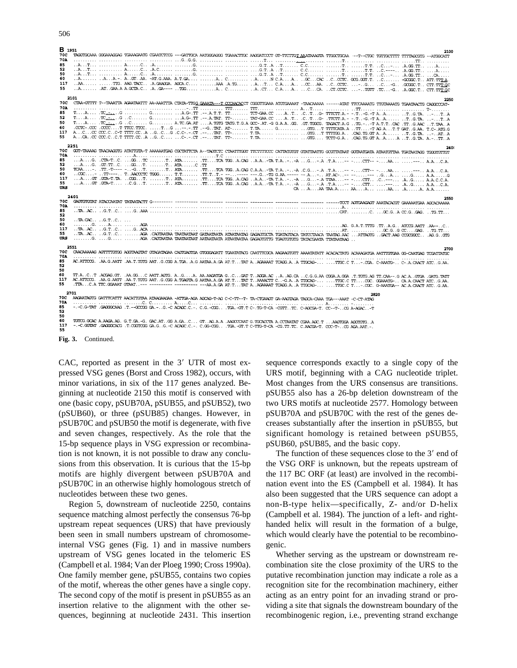| 506 |  |  |
|-----|--|--|
|     |  |  |

| B 1951<br>70C |                                                                                                                                                                  |                                |                                                                                                                                                                |  |  |  |  |      | 2100 |
|---------------|------------------------------------------------------------------------------------------------------------------------------------------------------------------|--------------------------------|----------------------------------------------------------------------------------------------------------------------------------------------------------------|--|--|--|--|------|------|
| <b>70A</b>    |                                                                                                                                                                  |                                | TROUTCOMA GOGANGGRIS TGANGANTS CGANTITOS ---GATTOCA AATGOGAGOS TGANCTTOC AAGGATCOCT GT-TTCTTGT AAMTAAGTA TTGCCTCCAA ---T--CTGC TGTTGCTTTT TTTFACGTG --ATGOCATT |  |  |  |  |      |      |
| 85            |                                                                                                                                                                  |                                |                                                                                                                                                                |  |  |  |  |      |      |
| 52            |                                                                                                                                                                  |                                |                                                                                                                                                                |  |  |  |  |      |      |
| 50            |                                                                                                                                                                  |                                |                                                                                                                                                                |  |  |  |  |      |      |
| 60            |                                                                                                                                                                  |                                |                                                                                                                                                                |  |  |  |  |      |      |
| 117           |                                                                                                                                                                  |                                |                                                                                                                                                                |  |  |  |  |      |      |
| 55            |                                                                                                                                                                  |                                |                                                                                                                                                                |  |  |  |  |      |      |
|               | 2101                                                                                                                                                             |                                |                                                                                                                                                                |  |  |  |  |      |      |
| 70C           |                                                                                                                                                                  |                                | CTAA-GTTTT T--TAAATTA AGAATAATTT AA-AAATTTA CTATA-TTGG GAAATA---T CCCAACACCT COOSTTGAAA ATSTGAAAAAT ------ATAT TTCCAAAATG TTGTAAAATG TGAATAACTG CAGOCCAT-      |  |  |  |  |      | 2250 |
| 70A           |                                                                                                                                                                  |                                |                                                                                                                                                                |  |  |  |  |      |      |
| 85            |                                                                                                                                                                  |                                |                                                                                                                                                                |  |  |  |  |      |      |
| 52            |                                                                                                                                                                  |                                |                                                                                                                                                                |  |  |  |  |      |      |
| 50            |                                                                                                                                                                  |                                |                                                                                                                                                                |  |  |  |  |      |      |
| 60            |                                                                                                                                                                  |                                | . COTC-. COC .COCCT TTCC.TTCC. TG ----TT .--GTAT. AT- T.TA G GTGT TTTTCATA.A TT. T.A.A.A.T.T .GAR. T.C-. ATG.G                                                 |  |  |  |  |      |      |
| 117           |                                                                                                                                                                  |                                |                                                                                                                                                                |  |  |  |  |      |      |
| 55            |                                                                                                                                                                  |                                |                                                                                                                                                                |  |  |  |  |      |      |
|               | 2251                                                                                                                                                             |                                |                                                                                                                                                                |  |  |  |  |      |      |
| 70C           | GOT-TAAAG TAACAGOTG ATATTGTA-T AAAAANGAG CGCTATTCTA A--TAGTCTC CTAATTGGT TTCTTTTCCC CATTATGTGT GTATTAATTG GCGTTATAAT GGTAATGATA ATAATGTTAA TGATAATAGG TGGGTGTTGT |                                |                                                                                                                                                                |  |  |  |  |      |      |
| 70A           |                                                                                                                                                                  |                                |                                                                                                                                                                |  |  |  |  |      |      |
| 85            |                                                                                                                                                                  |                                | AG. .CTA-TC. GSTC T ATA .TTTCA TGGA.CAG A.A-TA T.A-A G-A .T.A-- CTT-- -AA --- A.AC.A.                                                                          |  |  |  |  |      |      |
| 52<br>50      |                                                                                                                                                                  |                                | AG. .GT.TTC. GGT. T ATAC.TT                                                                                                                                    |  |  |  |  |      |      |
| 60            |                                                                                                                                                                  |                                | TCAA-. .TT.-T---- --GT. T ATA .TTTCA TGGA.CAG C.A.A-TA T.A-.-A .C.G-A .T.A-- CIT-- -AA --- A.AC.A.                                                             |  |  |  |  |      |      |
| 117           |                                                                                                                                                                  |                                | AGT .GTA-T.TA CGGT. T ATA TTTCA TGGA.CAG A.A-TA T.A--A GA TTAA-- -CTT C---- AG A.A.C.C.A.                                                                      |  |  |  |  |      |      |
| 55            |                                                                                                                                                                  |                                |                                                                                                                                                                |  |  |  |  |      |      |
| URS           |                                                                                                                                                                  |                                |                                                                                                                                                                |  |  |  |  |      |      |
|               |                                                                                                                                                                  |                                |                                                                                                                                                                |  |  |  |  |      |      |
|               |                                                                                                                                                                  |                                |                                                                                                                                                                |  |  |  |  |      |      |
|               | 2401                                                                                                                                                             |                                |                                                                                                                                                                |  |  |  |  |      | 2550 |
| 70C<br>70A    |                                                                                                                                                                  |                                |                                                                                                                                                                |  |  |  |  |      |      |
| 85            |                                                                                                                                                                  |                                |                                                                                                                                                                |  |  |  |  |      |      |
| 52            |                                                                                                                                                                  |                                |                                                                                                                                                                |  |  |  |  |      |      |
| 50            |                                                                                                                                                                  | $\ldots$ TA.CAC $\ldots$ .G.TC |                                                                                                                                                                |  |  |  |  |      |      |
| 60            |                                                                                                                                                                  |                                |                                                                                                                                                                |  |  |  |  |      |      |
| 117           |                                                                                                                                                                  |                                |                                                                                                                                                                |  |  |  |  |      |      |
| 55            |                                                                                                                                                                  |                                | R.AC. G.TC AG. POSSECO ATAMPAR ARATANT GATAMPAR GRAPHOTER TANDERAR TANCORAL G.R.T.G. OCO. G.GGTG                                                               |  |  |  |  |      |      |
| URS           |                                                                                                                                                                  |                                |                                                                                                                                                                |  |  |  |  |      |      |
|               | 2551                                                                                                                                                             |                                |                                                                                                                                                                |  |  |  |  |      | 2700 |
| 70C           | CAACAAAAG AGTTTIGIGG AGGTAAGTAT GTAGATAGA CAGTGAGTGA GTOGGAGATT TGAATATAGG CAATTIGGA AAAAATAT ACAACCIATG ACAAAGATGA AATTIGTGAA GG-CAATGAG TCGATTATGC             |                                |                                                                                                                                                                |  |  |  |  |      |      |
| 70A<br>85     |                                                                                                                                                                  |                                |                                                                                                                                                                |  |  |  |  |      |      |
| 52            |                                                                                                                                                                  |                                | AC.ATTCCG. .AA.G.AATT .AA.T.TGTG AATG.CGG A.TGAA.G AATAA.A.GA AT.TTAT AAGAAAAT TCAGG.AA TTGCAG-TTCC.C T-.CGA.C-AAATG- C-.A.CAACT ATCG.AA.                      |  |  |  |  |      |      |
| 50            |                                                                                                                                                                  |                                |                                                                                                                                                                |  |  |  |  |      |      |
| 60            | TT.ACT ACGAG.GT. .AA.GGC AATT.AGTG. AGA. AA.AAGATGA GCGAT TAGGA.A. .AAG.CA. .CG.G.AA CGGA.A.GGA .T.TGTG.AG TT.CAA---G AC.AGTGA .GATG.TATG                        |                                |                                                                                                                                                                |  |  |  |  |      |      |
| 117           | AC.ATTCCG. .AA.G.AATT .AA.T.TCTG AATG.CGG A.TGAGTA.G AATAA.A.GA AT.TTAT TAAAACTT C-G.AA TTGCAG- TTGC.C TTCGC. GGAAATG- CA.A.CAACT ATCG.AA.                       |                                |                                                                                                                                                                |  |  |  |  |      |      |
| 55            |                                                                                                                                                                  |                                | TTAC.A TTC.GGAART GTART--- ---------- --------- ---AA.A.GA AT.TTAT AAGAAAT TCAGAA.A TTGCAG-TTGC.C T-.CGC. G-AARTGA-- AC.A.CAACT ATCG.AA.                       |  |  |  |  |      |      |
|               | 2701                                                                                                                                                             |                                |                                                                                                                                                                |  |  |  |  | 2820 |      |
| 70C           | AAGAATAGTG GATTTCATTT AACATTGTAA ATAAGAAGAA -ATTGA-AGA AGCAG-T-AG C-C-TT--T- TA-CTGAAGT GA-AAGTAGA TAGCA-CAAA TGA---AAAT -C-CT-ATAG                              |                                |                                                                                                                                                                |  |  |  |  |      |      |
| 70A           |                                                                                                                                                                  |                                |                                                                                                                                                                |  |  |  |  |      |      |
| 85            |                                                                                                                                                                  |                                | --C.G-TAT .GAGGGCAAG .T.--GOOGGGA.-G.-C ACAGC.C.-. C.G.-CGG .TGA.-GT.T C-.TG-T-CA -CGTTTC. C-AGCGA-T. CC--T-OG A-AGAC-T                                        |  |  |  |  |      |      |
| 52            |                                                                                                                                                                  |                                |                                                                                                                                                                |  |  |  |  |      |      |
| 50<br>60      |                                                                                                                                                                  |                                |                                                                                                                                                                |  |  |  |  |      |      |
| 117           | --C.GGTAT .GAGGGCACG .T.CGGTCGG GA.GG.-C ACAGC.C.-. C.GG-CGG .TGA.-GT.T C-TTG-T-CA -CG.TT.TC. C.AACGA-T. CCC-T-CG AGA.AAT.-.                                     |                                | TGTCG.GCAC A.AAGA.AG. G.T.GA.-G. GAC.ATGG A.GAC GTAG.A.A .AAGOOCAAT G.TGCACCTA A.CCTAATAT CGAA.AGC.T AAGTGGA AGGTGTGA                                          |  |  |  |  |      |      |

**Fig. 3.** Continued.

CAC, reported as present in the  $3'$  UTR of most expressed VSG genes (Borst and Cross 1982), occurs, with minor variations, in six of the 117 genes analyzed. Beginning at nucleotide 2150 this motif is conserved with one (basic copy, pSUB70A, pSUB55, and pSUB52), two (pSUB60), or three (pSUB85) changes. However, in pSUB70C and pSUB50 the motif is degenerate, with five and seven changes, respectively. As the role that the 15-bp sequence plays in VSG expression or recombination is not known, it is not possible to draw any conclusions from this observation. It is curious that the 15-bp motifs are highly divergent between pSUB70A and pSUB70C in an otherwise highly homologous stretch of nucleotides between these two genes.

Region 5, downstream of nucleotide 2250, contains sequence matching almost perfectly the consensus 76-bp upstream repeat sequences (URS) that have previously been seen in small numbers upstream of chromosomeinternal VSG genes (Fig. 1) and in massive numbers upstream of VSG genes located in the telomeric ES (Campbell et al. 1984; Van der Ploeg 1990; Cross 1990a). One family member gene, pSUB55, contains two copies of the motif, whereas the other genes have a single copy. The second copy of the motif is present in pSUB55 as an insertion relative to the alignment with the other sequences, beginning at nucleotide 2431. This insertion sequence corresponds exactly to a single copy of the URS motif, beginning with a CAG nucleotide triplet. Most changes from the URS consensus are transitions. pSUB55 also has a 26-bp deletion downstream of the two URS motifs at nucleotide 2577. Homology between pSUB70A and pSUB70C with the rest of the genes decreases substantially after the insertion in pSUB55, but significant homology is retained between pSUB55, pSUB60, pSUB85, and the basic copy.

The function of these sequences close to the  $3'$  end of the VSG ORF is unknown, but the repeats upstream of the 117 BC ORF (at least) are involved in the recombination event into the ES (Campbell et al. 1984). It has also been suggested that the URS sequence can adopt a non-B-type helix—specifically, Z- and/or D-helix (Campbell et al. 1984). The junction of a left- and righthanded helix will result in the formation of a bulge, which would clearly have the potential to be recombinogenic.

Whether serving as the upstream or downstream recombination site the close proximity of the URS to the putative recombination junction may indicate a role as a recognition site for the recombination machinery, either acting as an entry point for an invading strand or providing a site that signals the downstream boundary of the recombinogenic region, i.e., preventing strand exchange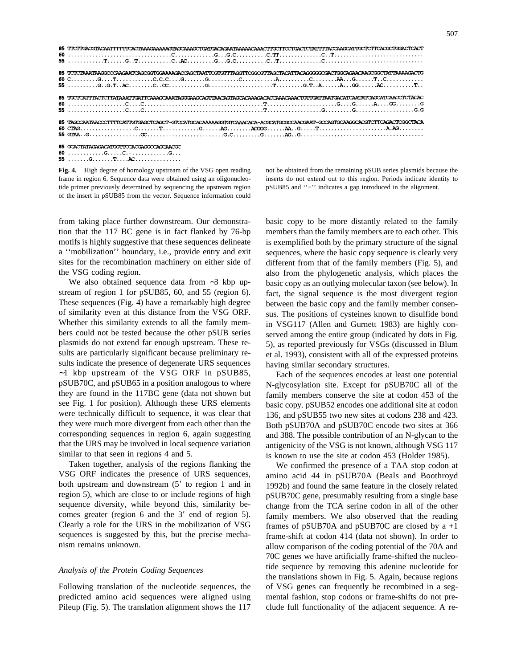| 85 ТІСТІСАССПАСААТІТІТІСАСТАААСАААААСПАССАААССІСАТСАСААПАААААСАААСТІССТІСТІСТСІРАТІТІТАССААССАТІССІСТІСАССІССАСТСАСТ    |
|-------------------------------------------------------------------------------------------------------------------------|
| 85 TCTCTAAATAAGOOODAAGAATCAGOOGTGGAAAAGACDAGTAATTCGTGTTTAGGTTCGGOOFTTACACTACAGGGGGGAAAGAAGAAGGGGCTATTAAAAGACTG          |
| 85 ТОСТСАТТТАСТСТТАТА ААТТСАТТСАААС АААТАССААС АСТТААСАСТАСАААСАСАС АААСАСААСТСТТСАТТААТСАССАТСААССАТСААССТСТАСАС       |
| 85 TAGCCAATAACCCTTTTCATTGTGAGCTCAGCT-GTCCATGCACAAAAAGGTGTCAAACACA-ACGCATGCGCCAACGAAT-GCCAGTGCAAGGCACGTCTTCAGACTCGGCTACA |
| 85 GCACTATAGAGACATGGTTCCACGAGGCCAGCAACGC                                                                                |

60 .............G.....C.-................G... 

**Fig. 4.** High degree of homology upstream of the VSG open reading frame in region 6. Sequence data were obtained using an oligonucleotide primer previously determined by sequencing the upstream region of the insert in pSUB85 from the vector. Sequence information could

from taking place further downstream. Our demonstration that the 117 BC gene is in fact flanked by 76-bp motifs is highly suggestive that these sequences delineate a ''mobilization'' boundary, i.e., provide entry and exit sites for the recombination machinery on either side of the VSG coding region.

We also obtained sequence data from ∼3 kbp upstream of region 1 for pSUB85, 60, and 55 (region 6). These sequences (Fig. 4) have a remarkably high degree of similarity even at this distance from the VSG ORF. Whether this similarity extends to all the family members could not be tested because the other pSUB series plasmids do not extend far enough upstream. These results are particularly significant because preliminary results indicate the presence of degenerate URS sequences ∼1 kbp upstream of the VSG ORF in pSUB85, pSUB70C, and pSUB65 in a position analogous to where they are found in the 117BC gene (data not shown but see Fig. 1 for position). Although these URS elements were technically difficult to sequence, it was clear that they were much more divergent from each other than the corresponding sequences in region 6, again suggesting that the URS may be involved in local sequence variation similar to that seen in regions 4 and 5.

Taken together, analysis of the regions flanking the VSG ORF indicates the presence of URS sequences, both upstream and downstream  $(5'$  to region 1 and in region 5), which are close to or include regions of high sequence diversity, while beyond this, similarity becomes greater (region  $6$  and the  $3'$  end of region  $5$ ). Clearly a role for the URS in the mobilization of VSG sequences is suggested by this, but the precise mechanism remains unknown.

## *Analysis of the Protein Coding Sequences*

Following translation of the nucleotide sequences, the predicted amino acid sequences were aligned using Pileup (Fig. 5). The translation alignment shows the 117 basic copy to be more distantly related to the family members than the family members are to each other. This is exemplified both by the primary structure of the signal sequences, where the basic copy sequence is clearly very different from that of the family members (Fig. 5), and also from the phylogenetic analysis, which places the basic copy as an outlying molecular taxon (see below). In fact, the signal sequence is the most divergent region between the basic copy and the family member consensus. The positions of cysteines known to disulfide bond in VSG117 (Allen and Gurnett 1983) are highly conserved among the entire group (indicated by dots in Fig. 5), as reported previously for VSGs (discussed in Blum et al. 1993), consistent with all of the expressed proteins having similar secondary structures.

not be obtained from the remaining pSUB series plasmids because the inserts do not extend out to this region. Periods indicate identity to pSUB85 and ''−'' indicates a gap introduced in the alignment.

Each of the sequences encodes at least one potential N-glycosylation site. Except for pSUB70C all of the family members conserve the site at codon 453 of the basic copy. pSUB52 encodes one additional site at codon 136, and pSUB55 two new sites at codons 238 and 423. Both pSUB70A and pSUB70C encode two sites at 366 and 388. The possible contribution of an N-glycan to the antigenicity of the VSG is not known, although VSG 117 is known to use the site at codon 453 (Holder 1985).

We confirmed the presence of a TAA stop codon at amino acid 44 in pSUB70A (Beals and Boothroyd 1992b) and found the same feature in the closely related pSUB70C gene, presumably resulting from a single base change from the TCA serine codon in all of the other family members. We also observed that the reading frames of pSUB70A and pSUB70C are closed by  $a +1$ frame-shift at codon 414 (data not shown). In order to allow comparison of the coding potential of the 70A and 70C genes we have artificially frame-shifted the nucleotide sequence by removing this adenine nucleotide for the translations shown in Fig. 5. Again, because regions of VSG genes can frequently be recombined in a segmental fashion, stop codons or frame-shifts do not preclude full functionality of the adjacent sequence. A re-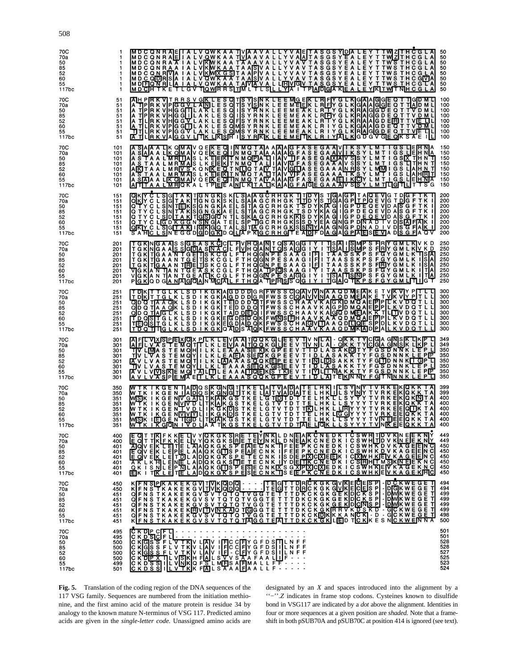| 70C<br>70a<br>50<br>85<br>52<br>60<br>55<br>117bc | -1<br>1<br>1<br>1<br>п.<br>-1                        | MDCONRAEITALVOWKAA TVAAVALLYVALTASGSYLDALEYTTWZTRČGLA<br>MDCONRAA IALVOWKAA TVAAVALLYVALTASGSYLALEYTTWZTRČGLA<br>MDCONRAA IALVKWKAA TAARVALLYVAVTASGSYLALEYTTWSTRCGLA<br>MDCONRAA IALVKWKAATAARVALLYVAVTASGSYLALEYTTWSTRCGLA<br>MDCONRRAA              | 50<br>50<br>50<br>50<br>50<br>50<br>50<br>50                |
|---------------------------------------------------|------------------------------------------------------|--------------------------------------------------------------------------------------------------------------------------------------------------------------------------------------------------------------------------------------------------------|-------------------------------------------------------------|
| 70C                                               | 51                                                   | AHPREVITRRSVOKLESOTSYSMELEEMGEKLRIFYGLKIGAAGGEGTTIGDML<br>A TPREVITRRSVOKLESOTSYSMELEEMEEKLRIFYGLKIGAAGGEGTTIGDML<br>A TPREVIHGGLILAKLESOHSYRNELEEMEAKLRIFYGLKIRAGGDEGTTVDML<br>A TLRKVIHGGLILAKLESOHSYRNKLEEMEAKLRIFYGLKIRAGGDEGTTVDML                | 100                                                         |
| 70a                                               | 51                                                   |                                                                                                                                                                                                                                                        | 100                                                         |
| 50                                                | 51                                                   |                                                                                                                                                                                                                                                        | 100                                                         |
| 85                                                | 51                                                   |                                                                                                                                                                                                                                                        | 100                                                         |
| 52                                                | 51                                                   |                                                                                                                                                                                                                                                        | 100                                                         |
| 60                                                | 51                                                   |                                                                                                                                                                                                                                                        | 100                                                         |
| 55                                                | 51                                                   |                                                                                                                                                                                                                                                        | 100                                                         |
| 117bc                                             | 51                                                   |                                                                                                                                                                                                                                                        | 100                                                         |
| 70C                                               | 101                                                  | A SAAA LK OMAL QEKEQIJNMOTAA AANAG FASEGA AVITKSYLMTIGSLEFTNA<br>A SAAA LK OMAL SLKEEQIJNMOTAA AANAG FASEGA AVITKSYLMTIGSLEFTNA<br>A STAAL MRIJASLKEEQIJNMOTAALIAVGFASEGA AANAJ SSYLMTIGSLEFTNAT<br>A STAAL MRIVSKONKEEQITNMOTAALIAVGFA                | 150                                                         |
| 70a                                               | 101                                                  |                                                                                                                                                                                                                                                        | 150                                                         |
| 50                                                | 101                                                  |                                                                                                                                                                                                                                                        | 150                                                         |
| 85                                                | 101                                                  |                                                                                                                                                                                                                                                        | 150                                                         |
| 52                                                | 101                                                  |                                                                                                                                                                                                                                                        | 150                                                         |
| 60                                                | 101                                                  |                                                                                                                                                                                                                                                        | 150                                                         |
| 55                                                | 101                                                  |                                                                                                                                                                                                                                                        | 150                                                         |
| 117bc                                             | 101                                                  |                                                                                                                                                                                                                                                        | 150                                                         |
| 70C                                               | 151                                                  | OKY CL SIGTA KITGN GKIS KILSIAA GCRHGK TITD YIS TIGA GPIT A QEVIG T DIG F TK TIGA GY CL SIGTA KITGN GKIS KILSIAA GCRHGK TTID YIS TIGA GPIT POE VIG TO GF TK THREE WAS GETTA A GCRHGK TTID YIS TIGA GPIT POE VID AS GF TK I<br>OT                       | 200                                                         |
| 70a                                               | 151                                                  |                                                                                                                                                                                                                                                        | 200                                                         |
| 50                                                | 151                                                  |                                                                                                                                                                                                                                                        | 200                                                         |
| 85                                                | 151                                                  |                                                                                                                                                                                                                                                        | 200                                                         |
| 52                                                | 151                                                  |                                                                                                                                                                                                                                                        | 200                                                         |
| 60                                                | 151                                                  |                                                                                                                                                                                                                                                        | 200                                                         |
| 55                                                | 151                                                  |                                                                                                                                                                                                                                                        | 200                                                         |
| 117bc                                             | 151                                                  |                                                                                                                                                                                                                                                        | 200                                                         |
| 70C                                               | 201                                                  | TGKNGA ASSGEASK ÖCLEVHOAMTOSAGGIYITISAIISMPS FIRY GMLKV K D<br>TGKNGA ASSGEASK ÖCLEVHOAMTOSAGGIYITISAIISMPS FIRY GMLKV K D<br>TGKTGA AN TGETISK C GLETHOGNPESAAG IFI TAASSK PS FGY GMLKV K TISA<br>TGKTGA AN TGETISK C GLETHOGNPESAAG I                | 250                                                         |
| 70a                                               | 201                                                  |                                                                                                                                                                                                                                                        | 250                                                         |
| 50                                                | 201                                                  |                                                                                                                                                                                                                                                        | 250                                                         |
| 85                                                | 201                                                  |                                                                                                                                                                                                                                                        | 250                                                         |
| 52                                                | 201                                                  |                                                                                                                                                                                                                                                        | 250                                                         |
| 60                                                | 201                                                  |                                                                                                                                                                                                                                                        | 250                                                         |
| 55                                                | 201                                                  |                                                                                                                                                                                                                                                        | 250                                                         |
| 117bc                                             | 201                                                  |                                                                                                                                                                                                                                                        | 250                                                         |
| 70C                                               | 251                                                  | T DIKIT TGLK LSD I KGKIA GDD DIG RIFWS SCION VINIA A QD MEIAK E T VIK VIY PIT LL<br>GID Q TIA A QK LSD I KGKIA GDD DIG RIFWS SCION VINIA A QD MEIAK E T VIK VIY PIT LL<br>GID Q TIA A QK LSD I KGKITE DD D Q TIFWS SC HA A V KAGRID                    | 300                                                         |
| 70a                                               | 251                                                  |                                                                                                                                                                                                                                                        | 300                                                         |
| 50                                                | 251                                                  |                                                                                                                                                                                                                                                        | 300                                                         |
| 85                                                | 251                                                  |                                                                                                                                                                                                                                                        | 300                                                         |
| 52                                                | 251                                                  |                                                                                                                                                                                                                                                        | 300                                                         |
| 60                                                | 251                                                  |                                                                                                                                                                                                                                                        | 300                                                         |
| 55                                                | 251                                                  |                                                                                                                                                                                                                                                        | 300                                                         |
| 117bc                                             | 251                                                  |                                                                                                                                                                                                                                                        | 300                                                         |
| 70C                                               | 301                                                  | A FILY AS PEMOXPILK LEVA A TIQQK GLIE E V TIV NILA - OK K TYCIGA GINSK LIKIP LITY AS PEMOXPILK LEVA A TIQQK GLIE E V TIV NILA - OK K TYCIGA GINSK LIKIP LITY A LATING A STEMOVILL K LEA A A SIEDA KOPEE V TILA LA SA KRITY FG                          | 349                                                         |
| 70a                                               | 301                                                  |                                                                                                                                                                                                                                                        | 349                                                         |
| 50                                                | 301                                                  |                                                                                                                                                                                                                                                        | 350                                                         |
| 85                                                | 301                                                  |                                                                                                                                                                                                                                                        | 350                                                         |
| 52                                                | 301                                                  |                                                                                                                                                                                                                                                        | 350                                                         |
| 60                                                | 301                                                  |                                                                                                                                                                                                                                                        | 350                                                         |
| 55                                                | 301                                                  |                                                                                                                                                                                                                                                        | 350                                                         |
| 117bc                                             | 301                                                  |                                                                                                                                                                                                                                                        | 350                                                         |
| 70C                                               | 350                                                  | WIKIKGENTIADO SKONGTIKE LATVADATE LHKILL SYNY TVRKEKOKKTA<br>WIKIKGENTIADO SKONGTIKE LATVADATE LHKILL SYNY TVRKEKOKKTA<br>WIKIKGENTYP LITKAKGSTKE LGTVTD T TELHK LLSYYY TVRKEKOKNTA<br>WIKIKGENTYP LITKAKGSTKE LGTVTD T TELHK LLSYYY TV                | 399                                                         |
| 70a                                               | 350                                                  |                                                                                                                                                                                                                                                        | 399                                                         |
| 50                                                | 351                                                  |                                                                                                                                                                                                                                                        | 400                                                         |
| 85                                                | 351                                                  |                                                                                                                                                                                                                                                        | 400                                                         |
| 52                                                | 351                                                  |                                                                                                                                                                                                                                                        | 400                                                         |
| 60                                                | 351                                                  |                                                                                                                                                                                                                                                        | 400                                                         |
| 55                                                | 351                                                  |                                                                                                                                                                                                                                                        | 400                                                         |
| 117bc                                             | 351                                                  |                                                                                                                                                                                                                                                        | 400                                                         |
| 70C                                               | 400                                                  | E GIT TIRIF K KE TIV YOK GK SIRE TEIVINKIL D NEIAIR C N E DK T C SWHITD V KIN EIEK NIY<br>ADOVEK LETTEL LANGK GK SIRE TELVINKIL D NEIAIK C N E DK T C SWHITD V KIN EIEK NIY<br>TE GIV EIK LETTEL AIAIGK GK SPEETE C N K TIF EIE P K                    | 449                                                         |
| 70a                                               | 400                                                  |                                                                                                                                                                                                                                                        | 449                                                         |
| 50                                                | 401                                                  |                                                                                                                                                                                                                                                        | 450                                                         |
| 85                                                | 401                                                  |                                                                                                                                                                                                                                                        | 450                                                         |
| 52                                                | 401                                                  |                                                                                                                                                                                                                                                        | 450                                                         |
| 60                                                | 401                                                  |                                                                                                                                                                                                                                                        | 450                                                         |
| 55                                                | 401                                                  |                                                                                                                                                                                                                                                        | 450                                                         |
| 117bc                                             | 401                                                  |                                                                                                                                                                                                                                                        | 450                                                         |
| 70C<br>70a<br>50<br>85<br>52<br>60<br>55<br>117bc | 450<br>450<br>451<br>451<br>451<br>451<br>451<br>451 | <u>DÇKWEĞEJ</u><br>K F N STK A K E K G V TV K MODOL - - - - T E G T T D H Č K G K G V K J E Č E IS P - D Č K W E G E T T J J K Č K<br>O F N S T K A K E K G V S V T Q T Q T V G G T E T T T D H Č K G K G E K D Č K S P - D M K W E G E T<br>O F N S T | 494<br>494<br>499<br>499<br>499<br>499<br>498<br>500        |
| 70C<br>70a<br>50<br>85<br>52<br>60<br>55<br>117bc | 495<br>495<br>500<br>500<br>500<br>500<br>499<br>501 | C K DIP CF LI<br>C K D SIC F L V T K V L A V L I FIC CF I Y G F D S TIL N F F<br>C K G S S F L V T K V L A V L I FIC CF I Y G F D S TIL N F F<br>C K G S S F L V T K V L A V L I FI - CF Y G F D S I I L N F F<br>C K D S S I L V I N K I              | 501<br>501<br>528<br>528<br>527<br>527<br>525<br>523<br>524 |

**Fig. 5.** Translation of the coding region of the DNA sequences of the 117 VSG family. Sequences are numbered from the initiation methionine, and the first amino acid of the mature protein is residue 34 by analogy to the known mature N-terminus of VSG 117. Predicted amino acids are given in the *single-letter code.* Unassigned amino acids are designated by an *X* and spaces introduced into the alignment by a ''−''.*Z* indicates in frame stop codons. Cysteines known to disulfide bond in VSG117 are indicated by a *dot* above the alignment. Identities in four or more sequences at a given position are *shaded.* Note that a frameshift in both pSUB70A and pSUB70C at position 414 is ignored (see text).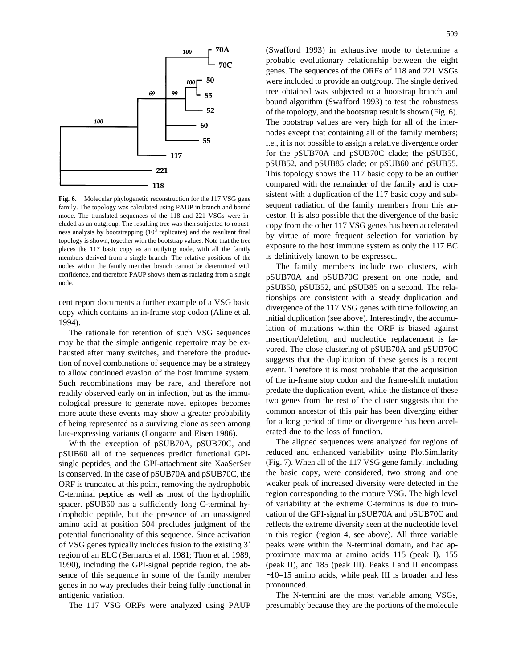

**Fig. 6.** Molecular phylogenetic reconstruction for the 117 VSG gene family. The topology was calculated using PAUP in branch and bound mode. The translated sequences of the 118 and 221 VSGs were included as an outgroup. The resulting tree was then subjected to robustness analysis by bootstrapping  $(10^3 \text{ replicates})$  and the resultant final topology is shown, together with the bootstrap values. Note that the tree places the 117 basic copy as an outlying node, with all the family members derived from a single branch. The relative positions of the nodes within the family member branch cannot be determined with confidence, and therefore PAUP shows them as radiating from a single node.

cent report documents a further example of a VSG basic copy which contains an in-frame stop codon (Aline et al. 1994).

The rationale for retention of such VSG sequences may be that the simple antigenic repertoire may be exhausted after many switches, and therefore the production of novel combinations of sequence may be a strategy to allow continued evasion of the host immune system. Such recombinations may be rare, and therefore not readily observed early on in infection, but as the immunological pressure to generate novel epitopes becomes more acute these events may show a greater probability of being represented as a surviving clone as seen among late-expressing variants (Longacre and Eisen 1986).

With the exception of pSUB70A, pSUB70C, and pSUB60 all of the sequences predict functional GPIsingle peptides, and the GPI-attachment site XaaSerSer is conserved. In the case of pSUB70A and pSUB70C, the ORF is truncated at this point, removing the hydrophobic C-terminal peptide as well as most of the hydrophilic spacer. pSUB60 has a sufficiently long C-terminal hydrophobic peptide, but the presence of an unassigned amino acid at position 504 precludes judgment of the potential functionality of this sequence. Since activation of VSG genes typically includes fusion to the existing 3' region of an ELC (Bernards et al. 1981; Thon et al. 1989, 1990), including the GPI-signal peptide region, the absence of this sequence in some of the family member genes in no way precludes their being fully functional in antigenic variation.

The 117 VSG ORFs were analyzed using PAUP

(Swafford 1993) in exhaustive mode to determine a probable evolutionary relationship between the eight genes. The sequences of the ORFs of 118 and 221 VSGs were included to provide an outgroup. The single derived tree obtained was subjected to a bootstrap branch and bound algorithm (Swafford 1993) to test the robustness of the topology, and the bootstrap result is shown (Fig. 6). The bootstrap values are very high for all of the internodes except that containing all of the family members; i.e., it is not possible to assign a relative divergence order for the pSUB70A and pSUB70C clade; the pSUB50, pSUB52, and pSUB85 clade; or pSUB60 and pSUB55. This topology shows the 117 basic copy to be an outlier compared with the remainder of the family and is consistent with a duplication of the 117 basic copy and subsequent radiation of the family members from this ancestor. It is also possible that the divergence of the basic copy from the other 117 VSG genes has been accelerated by virtue of more frequent selection for variation by exposure to the host immune system as only the 117 BC is definitively known to be expressed.

The family members include two clusters, with pSUB70A and pSUB70C present on one node, and pSUB50, pSUB52, and pSUB85 on a second. The relationships are consistent with a steady duplication and divergence of the 117 VSG genes with time following an initial duplication (see above). Interestingly, the accumulation of mutations within the ORF is biased against insertion/deletion, and nucleotide replacement is favored. The close clustering of pSUB70A and pSUB70C suggests that the duplication of these genes is a recent event. Therefore it is most probable that the acquisition of the in-frame stop codon and the frame-shift mutation predate the duplication event, while the distance of these two genes from the rest of the cluster suggests that the common ancestor of this pair has been diverging either for a long period of time or divergence has been accelerated due to the loss of function.

The aligned sequences were analyzed for regions of reduced and enhanced variability using PlotSimilarity (Fig. 7). When all of the 117 VSG gene family, including the basic copy, were considered, two strong and one weaker peak of increased diversity were detected in the region corresponding to the mature VSG. The high level of variability at the extreme C-terminus is due to truncation of the GPI-signal in pSUB70A and pSUB70C and reflects the extreme diversity seen at the nucleotide level in this region (region 4, see above). All three variable peaks were within the N-terminal domain, and had approximate maxima at amino acids 115 (peak I), 155 (peak II), and 185 (peak III). Peaks I and II encompass ∼10–15 amino acids, while peak III is broader and less pronounced.

The N-termini are the most variable among VSGs, presumably because they are the portions of the molecule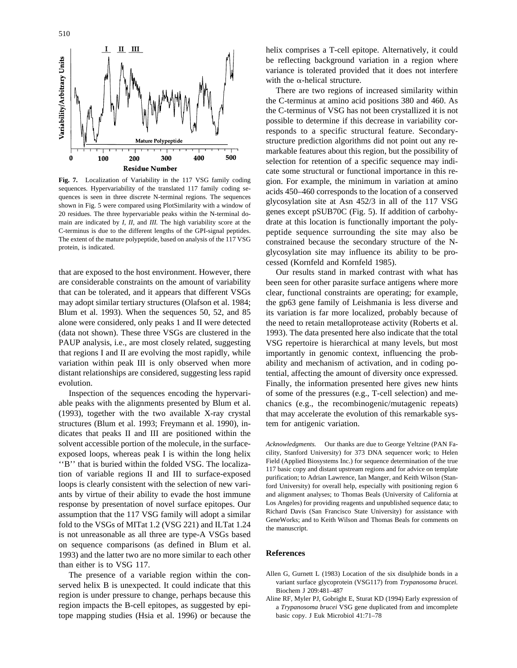

**Fig. 7.** Localization of Variability in the 117 VSG family coding sequences. Hypervariability of the translated 117 family coding sequences is seen in three discrete N-terminal regions. The sequences shown in Fig. 5 were compared using PlotSimilarity with a window of 20 residues. The three hypervariable peaks within the N-terminal domain are indicated by *I, II,* and *III.* The high variability score at the C-terminus is due to the different lengths of the GPI-signal peptides. The extent of the mature polypeptide, based on analysis of the 117 VSG protein, is indicated.

that are exposed to the host environment. However, there are considerable constraints on the amount of variability that can be tolerated, and it appears that different VSGs may adopt similar tertiary structures (Olafson et al. 1984; Blum et al. 1993). When the sequences 50, 52, and 85 alone were considered, only peaks 1 and II were detected (data not shown). These three VSGs are clustered in the PAUP analysis, i.e., are most closely related, suggesting that regions I and II are evolving the most rapidly, while variation within peak III is only observed when more distant relationships are considered, suggesting less rapid evolution.

Inspection of the sequences encoding the hypervariable peaks with the alignments presented by Blum et al. (1993), together with the two available X-ray crystal structures (Blum et al. 1993; Freymann et al. 1990), indicates that peaks II and III are positioned within the solvent accessible portion of the molecule, in the surfaceexposed loops, whereas peak I is within the long helix ''B'' that is buried within the folded VSG. The localization of variable regions II and III to surface-exposed loops is clearly consistent with the selection of new variants by virtue of their ability to evade the host immune response by presentation of novel surface epitopes. Our assumption that the 117 VSG family will adopt a similar fold to the VSGs of MITat 1.2 (VSG 221) and ILTat 1.24 is not unreasonable as all three are type-A VSGs based on sequence comparisons (as defined in Blum et al. 1993) and the latter two are no more similar to each other than either is to VSG 117.

The presence of a variable region within the conserved helix B is unexpected. It could indicate that this region is under pressure to change, perhaps because this region impacts the B-cell epitopes, as suggested by epitope mapping studies (Hsia et al. 1996) or because the helix comprises a T-cell epitope. Alternatively, it could be reflecting background variation in a region where variance is tolerated provided that it does not interfere with the  $\alpha$ -helical structure.

There are two regions of increased similarity within the C-terminus at amino acid positions 380 and 460. As the C-terminus of VSG has not been crystallized it is not possible to determine if this decrease in variability corresponds to a specific structural feature. Secondarystructure prediction algorithms did not point out any remarkable features about this region, but the possibility of selection for retention of a specific sequence may indicate some structural or functional importance in this region. For example, the minimum in variation at amino acids 450–460 corresponds to the location of a conserved glycosylation site at Asn 452/3 in all of the 117 VSG genes except pSUB70C (Fig. 5). If addition of carbohydrate at this location is functionally important the polypeptide sequence surrounding the site may also be constrained because the secondary structure of the Nglycosylation site may influence its ability to be processed (Kornfeld and Kornfeld 1985).

Our results stand in marked contrast with what has been seen for other parasite surface antigens where more clear, functional constraints are operating; for example, the gp63 gene family of Leishmania is less diverse and its variation is far more localized, probably because of the need to retain metalloprotease activity (Roberts et al. 1993). The data presented here also indicate that the total VSG repertoire is hierarchical at many levels, but most importantly in genomic context, influencing the probability and mechanism of activation, and in coding potential, affecting the amount of diversity once expressed. Finally, the information presented here gives new hints of some of the pressures (e.g., T-cell selection) and mechanics (e.g., the recombinogenic/mutagenic repeats) that may accelerate the evolution of this remarkable system for antigenic variation.

*Acknowledgments.* Our thanks are due to George Yeltzine (PAN Facility, Stanford University) for 373 DNA sequencer work; to Helen Field (Applied Biosystems Inc.) for sequence determination of the true 117 basic copy and distant upstream regions and for advice on template purification; to Adrian Lawrence, Ian Manger, and Keith Wilson (Stanford University) for overall help, especially with positioning region 6 and alignment analyses; to Thomas Beals (University of California at Los Angeles) for providing reagents and unpublished sequence data; to Richard Davis (San Francisco State University) for assistance with GeneWorks; and to Keith Wilson and Thomas Beals for comments on the manuscript.

#### **References**

- Allen G, Gurnett L (1983) Location of the six disulphide bonds in a variant surface glycoprotein (VSG117) from *Trypanosoma brucei.* Biochem J 209:481–487
- Aline RF, Myler PJ, Gobright E, Sturat KD (1994) Early expression of a *Trypanosoma brucei* VSG gene duplicated from and imcomplete basic copy. J Euk Microbiol 41:71–78